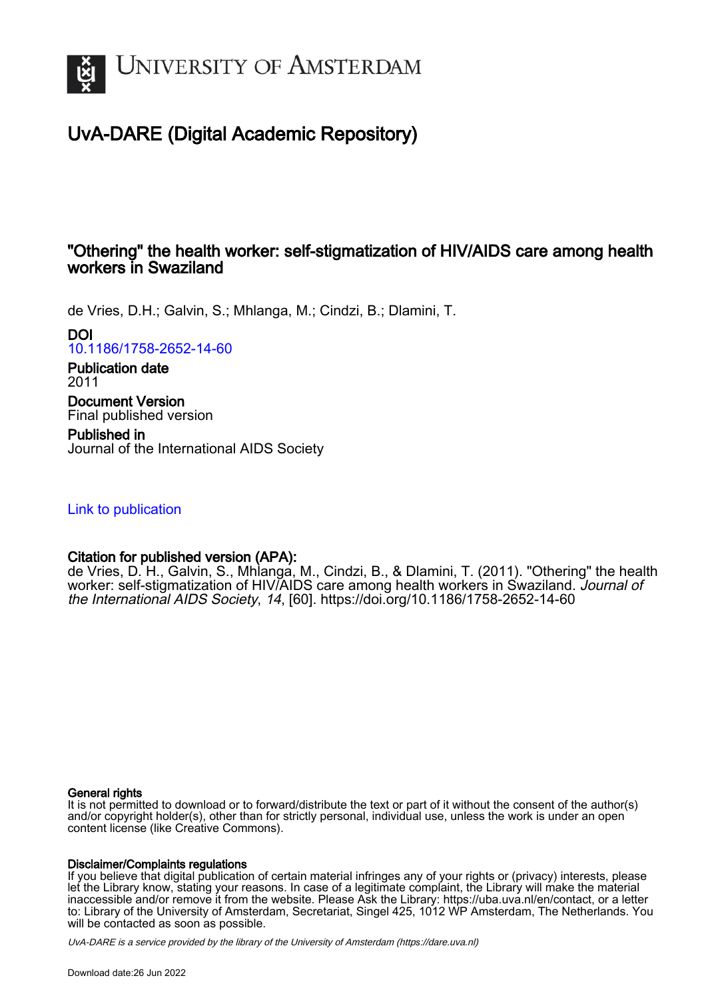

## UvA-DARE (Digital Academic Repository)

## "Othering" the health worker: self-stigmatization of HIV/AIDS care among health workers in Swaziland

de Vries, D.H.; Galvin, S.; Mhlanga, M.; Cindzi, B.; Dlamini, T.

DOI

[10.1186/1758-2652-14-60](https://doi.org/10.1186/1758-2652-14-60)

Publication date 2011

Document Version Final published version

Published in Journal of the International AIDS Society

[Link to publication](https://dare.uva.nl/personal/pure/en/publications/othering-the-health-worker-selfstigmatization-of-hivaids-care-among-health-workers-in-swaziland(0b37662d-fe49-4e70-a241-6146d1f89528).html)

## Citation for published version (APA):

de Vries, D. H., Galvin, S., Mhlanga, M., Cindzi, B., & Dlamini, T. (2011). "Othering" the health worker: self-stigmatization of HIV/AIDS care among health workers in Swaziland. Journal of the International AIDS Society, 14, [60].<https://doi.org/10.1186/1758-2652-14-60>

## General rights

It is not permitted to download or to forward/distribute the text or part of it without the consent of the author(s) and/or copyright holder(s), other than for strictly personal, individual use, unless the work is under an open content license (like Creative Commons).

## Disclaimer/Complaints regulations

If you believe that digital publication of certain material infringes any of your rights or (privacy) interests, please let the Library know, stating your reasons. In case of a legitimate complaint, the Library will make the material inaccessible and/or remove it from the website. Please Ask the Library: https://uba.uva.nl/en/contact, or a letter to: Library of the University of Amsterdam, Secretariat, Singel 425, 1012 WP Amsterdam, The Netherlands. You will be contacted as soon as possible.

UvA-DARE is a service provided by the library of the University of Amsterdam (http*s*://dare.uva.nl)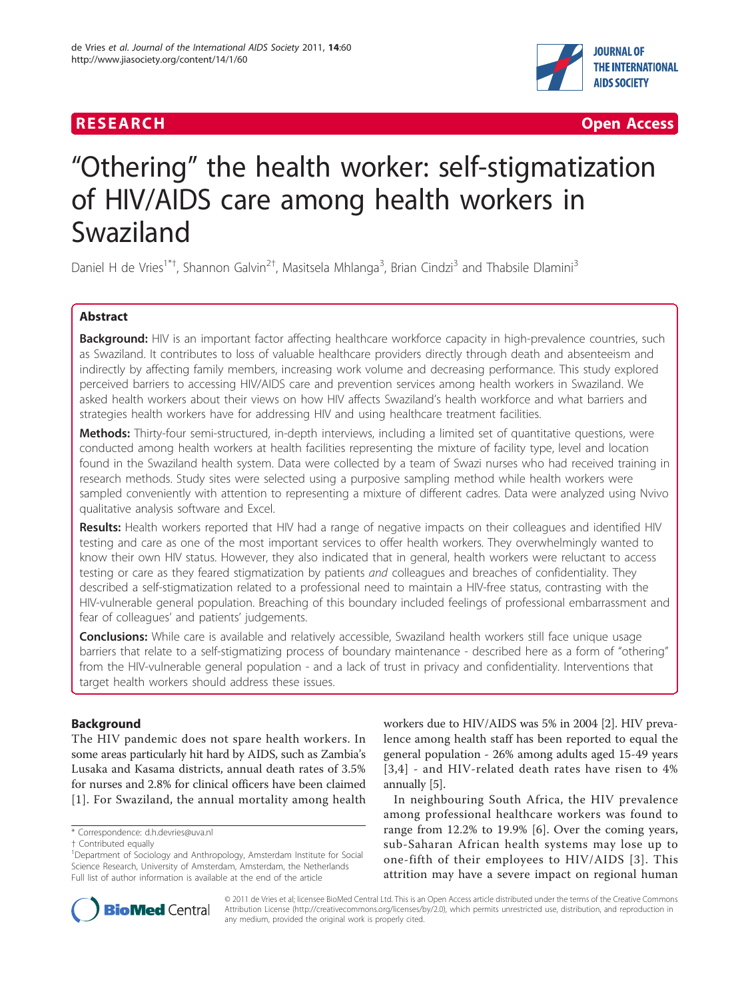

**RESEARCH Open Access** 

# "Othering" the health worker: self-stigmatization of HIV/AIDS care among health workers in Swaziland

Daniel H de Vries<sup>1\*†</sup>, Shannon Galvin<sup>2†</sup>, Masitsela Mhlanga<sup>3</sup>, Brian Cindzi<sup>3</sup> and Thabsile Dlamini<sup>3</sup>

## Abstract

Background: HIV is an important factor affecting healthcare workforce capacity in high-prevalence countries, such as Swaziland. It contributes to loss of valuable healthcare providers directly through death and absenteeism and indirectly by affecting family members, increasing work volume and decreasing performance. This study explored perceived barriers to accessing HIV/AIDS care and prevention services among health workers in Swaziland. We asked health workers about their views on how HIV affects Swaziland's health workforce and what barriers and strategies health workers have for addressing HIV and using healthcare treatment facilities.

Methods: Thirty-four semi-structured, in-depth interviews, including a limited set of quantitative questions, were conducted among health workers at health facilities representing the mixture of facility type, level and location found in the Swaziland health system. Data were collected by a team of Swazi nurses who had received training in research methods. Study sites were selected using a purposive sampling method while health workers were sampled conveniently with attention to representing a mixture of different cadres. Data were analyzed using Nvivo qualitative analysis software and Excel.

Results: Health workers reported that HIV had a range of negative impacts on their colleagues and identified HIV testing and care as one of the most important services to offer health workers. They overwhelmingly wanted to know their own HIV status. However, they also indicated that in general, health workers were reluctant to access testing or care as they feared stigmatization by patients and colleagues and breaches of confidentiality. They described a self-stigmatization related to a professional need to maintain a HIV-free status, contrasting with the HIV-vulnerable general population. Breaching of this boundary included feelings of professional embarrassment and fear of colleagues' and patients' judgements.

Conclusions: While care is available and relatively accessible, Swaziland health workers still face unique usage barriers that relate to a self-stigmatizing process of boundary maintenance - described here as a form of "othering" from the HIV-vulnerable general population - and a lack of trust in privacy and confidentiality. Interventions that target health workers should address these issues.

## Background

The HIV pandemic does not spare health workers. In some areas particularly hit hard by AIDS, such as Zambia's Lusaka and Kasama districts, annual death rates of 3.5% for nurses and 2.8% for clinical officers have been claimed [[1](#page-8-0)]. For Swaziland, the annual mortality among health

workers due to HIV/AIDS was 5% in 2004 [[2](#page-8-0)]. HIV prevalence among health staff has been reported to equal the general population - 26% among adults aged 15-49 years [[3,4](#page-8-0)] - and HIV-related death rates have risen to 4% annually [\[5\]](#page-8-0).

In neighbouring South Africa, the HIV prevalence among professional healthcare workers was found to range from 12.2% to 19.9% [[6\]](#page-8-0). Over the coming years, sub-Saharan African health systems may lose up to one-fifth of their employees to HIV/AIDS [[3\]](#page-8-0). This attrition may have a severe impact on regional human



© 2011 de Vries et al; licensee BioMed Central Ltd. This is an Open Access article distributed under the terms of the Creative Commons Attribution License [\(http://creativecommons.org/licenses/by/2.0](http://creativecommons.org/licenses/by/2.0)), which permits unrestricted use, distribution, and reproduction in any medium, provided the original work is properly cited.

<sup>\*</sup> Correspondence: [d.h.devries@uva.nl](mailto:d.h.devries@uva.nl)

<sup>†</sup> Contributed equally <sup>1</sup>

<sup>&</sup>lt;sup>1</sup>Department of Sociology and Anthropology, Amsterdam Institute for Social Science Research, University of Amsterdam, Amsterdam, the Netherlands Full list of author information is available at the end of the article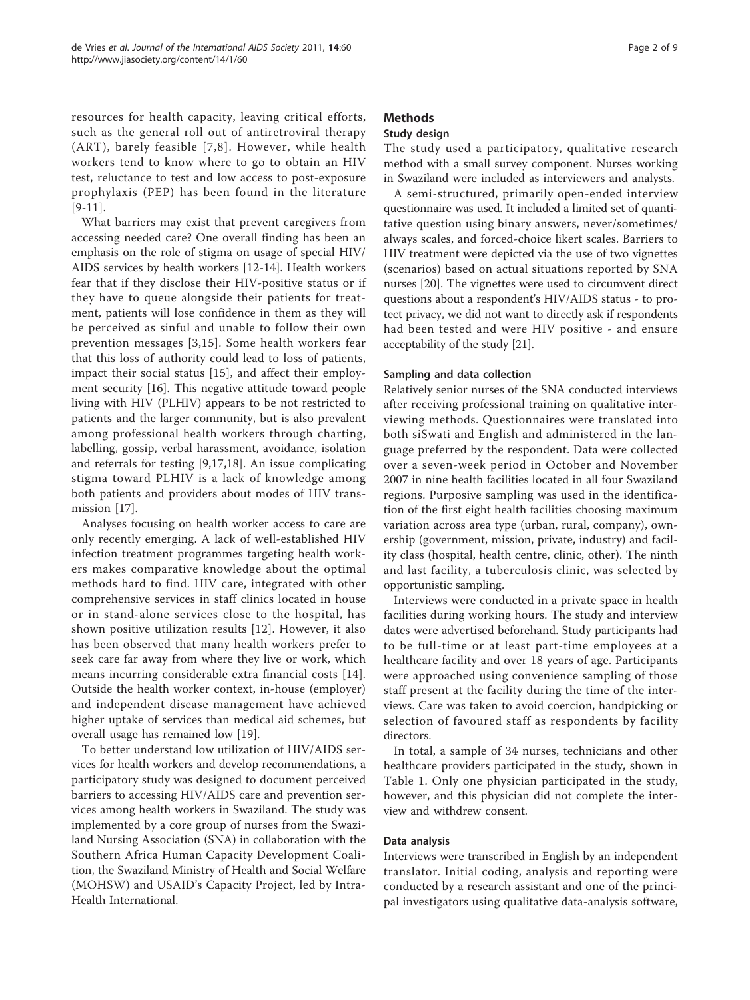resources for health capacity, leaving critical efforts, such as the general roll out of antiretroviral therapy (ART), barely feasible [[7](#page-8-0),[8](#page-8-0)]. However, while health workers tend to know where to go to obtain an HIV test, reluctance to test and low access to post-exposure prophylaxis (PEP) has been found in the literature [[9-11\]](#page-8-0).

What barriers may exist that prevent caregivers from accessing needed care? One overall finding has been an emphasis on the role of stigma on usage of special HIV/ AIDS services by health workers [\[12](#page-8-0)-[14](#page-8-0)]. Health workers fear that if they disclose their HIV-positive status or if they have to queue alongside their patients for treatment, patients will lose confidence in them as they will be perceived as sinful and unable to follow their own prevention messages [[3,15](#page-8-0)]. Some health workers fear that this loss of authority could lead to loss of patients, impact their social status [[15\]](#page-8-0), and affect their employment security [[16](#page-8-0)]. This negative attitude toward people living with HIV (PLHIV) appears to be not restricted to patients and the larger community, but is also prevalent among professional health workers through charting, labelling, gossip, verbal harassment, avoidance, isolation and referrals for testing [[9,17,18\]](#page-8-0). An issue complicating stigma toward PLHIV is a lack of knowledge among both patients and providers about modes of HIV transmission [\[17](#page-8-0)].

Analyses focusing on health worker access to care are only recently emerging. A lack of well-established HIV infection treatment programmes targeting health workers makes comparative knowledge about the optimal methods hard to find. HIV care, integrated with other comprehensive services in staff clinics located in house or in stand-alone services close to the hospital, has shown positive utilization results [[12\]](#page-8-0). However, it also has been observed that many health workers prefer to seek care far away from where they live or work, which means incurring considerable extra financial costs [[14](#page-8-0)]. Outside the health worker context, in-house (employer) and independent disease management have achieved higher uptake of services than medical aid schemes, but overall usage has remained low [[19](#page-8-0)].

To better understand low utilization of HIV/AIDS services for health workers and develop recommendations, a participatory study was designed to document perceived barriers to accessing HIV/AIDS care and prevention services among health workers in Swaziland. The study was implemented by a core group of nurses from the Swaziland Nursing Association (SNA) in collaboration with the Southern Africa Human Capacity Development Coalition, the Swaziland Ministry of Health and Social Welfare (MOHSW) and USAID's Capacity Project, led by Intra-Health International.

## Methods

## Study design

The study used a participatory, qualitative research method with a small survey component. Nurses working in Swaziland were included as interviewers and analysts.

A semi-structured, primarily open-ended interview questionnaire was used. It included a limited set of quantitative question using binary answers, never/sometimes/ always scales, and forced-choice likert scales. Barriers to HIV treatment were depicted via the use of two vignettes (scenarios) based on actual situations reported by SNA nurses [[20\]](#page-8-0). The vignettes were used to circumvent direct questions about a respondent's HIV/AIDS status - to protect privacy, we did not want to directly ask if respondents had been tested and were HIV positive - and ensure acceptability of the study [\[21\]](#page-8-0).

## Sampling and data collection

Relatively senior nurses of the SNA conducted interviews after receiving professional training on qualitative interviewing methods. Questionnaires were translated into both siSwati and English and administered in the language preferred by the respondent. Data were collected over a seven-week period in October and November 2007 in nine health facilities located in all four Swaziland regions. Purposive sampling was used in the identification of the first eight health facilities choosing maximum variation across area type (urban, rural, company), ownership (government, mission, private, industry) and facility class (hospital, health centre, clinic, other). The ninth and last facility, a tuberculosis clinic, was selected by opportunistic sampling.

Interviews were conducted in a private space in health facilities during working hours. The study and interview dates were advertised beforehand. Study participants had to be full-time or at least part-time employees at a healthcare facility and over 18 years of age. Participants were approached using convenience sampling of those staff present at the facility during the time of the interviews. Care was taken to avoid coercion, handpicking or selection of favoured staff as respondents by facility directors.

In total, a sample of 34 nurses, technicians and other healthcare providers participated in the study, shown in Table [1](#page-3-0). Only one physician participated in the study, however, and this physician did not complete the interview and withdrew consent.

## Data analysis

Interviews were transcribed in English by an independent translator. Initial coding, analysis and reporting were conducted by a research assistant and one of the principal investigators using qualitative data-analysis software,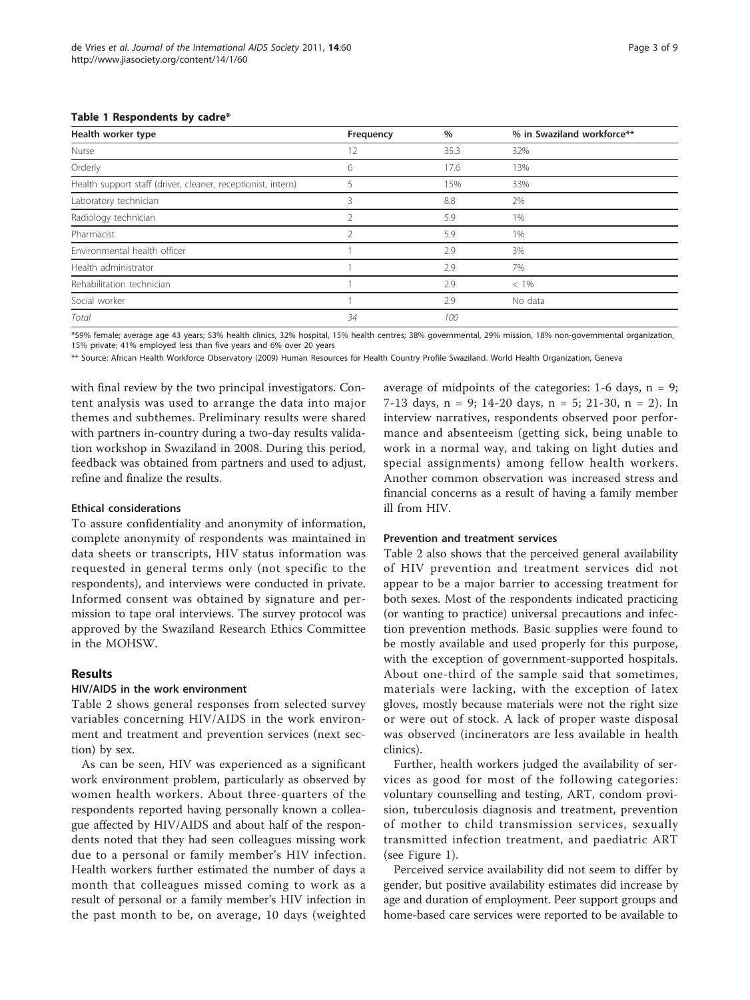#### <span id="page-3-0"></span>Table 1 Respondents by cadre\*

| Health worker type                                           | Frequency     | $\%$ | % in Swaziland workforce** |
|--------------------------------------------------------------|---------------|------|----------------------------|
| Nurse                                                        | 12            | 35.3 | 32%                        |
| Orderly                                                      | 6             | 17.6 | 13%                        |
| Health support staff (driver, cleaner, receptionist, intern) | 5             | 15%  | 33%                        |
| Laboratory technician                                        | 3             | 8.8  | 2%                         |
| Radiology technician                                         | 2             | 5.9  | 1%                         |
| Pharmacist                                                   | $\mathcal{P}$ | 5.9  | 1%                         |
| Environmental health officer                                 |               | 2.9  | 3%                         |
| Health administrator                                         |               | 2.9  | 7%                         |
| Rehabilitation technician                                    |               | 2.9  | $< 1\%$                    |
| Social worker                                                |               | 2.9  | No data                    |
| Total                                                        | 34            | 100  |                            |

\*59% female; average age 43 years; 53% health clinics, 32% hospital, 15% health centres; 38% governmental, 29% mission, 18% non-governmental organization, 15% private; 41% employed less than five years and 6% over 20 years

\*\* Source: African Health Workforce Observatory (2009) Human Resources for Health Country Profile Swaziland. World Health Organization, Geneva

with final review by the two principal investigators. Content analysis was used to arrange the data into major themes and subthemes. Preliminary results were shared with partners in-country during a two-day results validation workshop in Swaziland in 2008. During this period, feedback was obtained from partners and used to adjust, refine and finalize the results.

#### Ethical considerations

To assure confidentiality and anonymity of information, complete anonymity of respondents was maintained in data sheets or transcripts, HIV status information was requested in general terms only (not specific to the respondents), and interviews were conducted in private. Informed consent was obtained by signature and permission to tape oral interviews. The survey protocol was approved by the Swaziland Research Ethics Committee in the MOHSW.

### Results

#### HIV/AIDS in the work environment

Table [2](#page-4-0) shows general responses from selected survey variables concerning HIV/AIDS in the work environment and treatment and prevention services (next section) by sex.

As can be seen, HIV was experienced as a significant work environment problem, particularly as observed by women health workers. About three-quarters of the respondents reported having personally known a colleague affected by HIV/AIDS and about half of the respondents noted that they had seen colleagues missing work due to a personal or family member's HIV infection. Health workers further estimated the number of days a month that colleagues missed coming to work as a result of personal or a family member's HIV infection in the past month to be, on average, 10 days (weighted average of midpoints of the categories:  $1-6$  days,  $n = 9$ ; 7-13 days, n = 9; 14-20 days, n = 5; 21-30, n = 2). In interview narratives, respondents observed poor performance and absenteeism (getting sick, being unable to work in a normal way, and taking on light duties and special assignments) among fellow health workers. Another common observation was increased stress and financial concerns as a result of having a family member ill from HIV.

#### Prevention and treatment services

Table [2](#page-4-0) also shows that the perceived general availability of HIV prevention and treatment services did not appear to be a major barrier to accessing treatment for both sexes. Most of the respondents indicated practicing (or wanting to practice) universal precautions and infection prevention methods. Basic supplies were found to be mostly available and used properly for this purpose, with the exception of government-supported hospitals. About one-third of the sample said that sometimes, materials were lacking, with the exception of latex gloves, mostly because materials were not the right size or were out of stock. A lack of proper waste disposal was observed (incinerators are less available in health clinics).

Further, health workers judged the availability of services as good for most of the following categories: voluntary counselling and testing, ART, condom provision, tuberculosis diagnosis and treatment, prevention of mother to child transmission services, sexually transmitted infection treatment, and paediatric ART (see Figure [1\)](#page-4-0).

Perceived service availability did not seem to differ by gender, but positive availability estimates did increase by age and duration of employment. Peer support groups and home-based care services were reported to be available to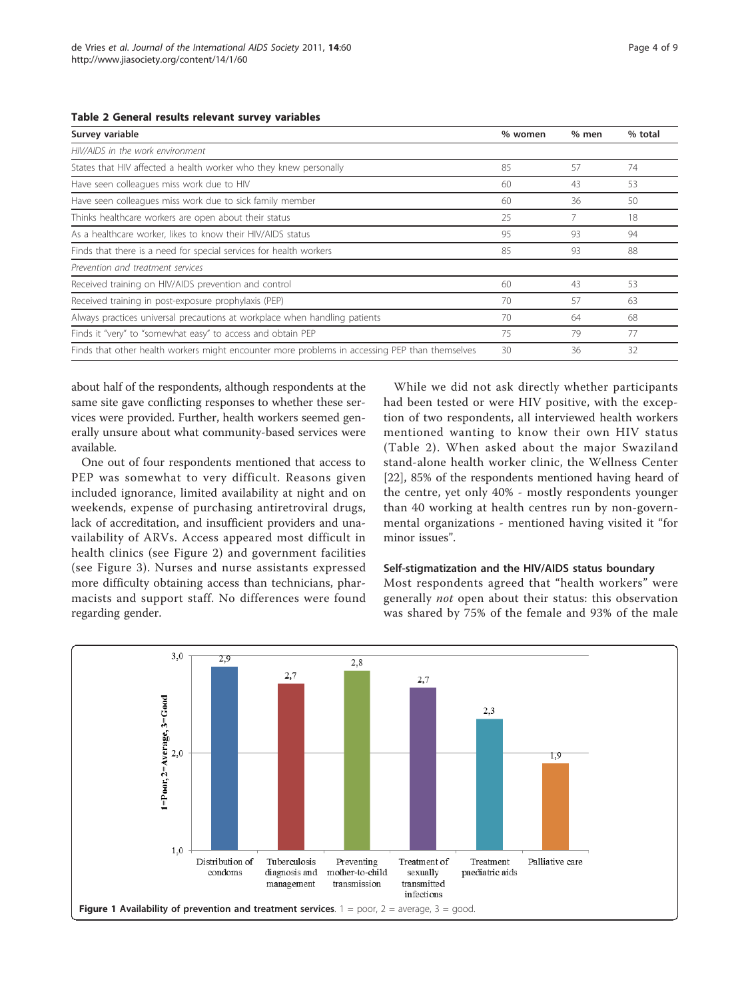<span id="page-4-0"></span>

|  |  |  |  |  |  | Table 2 General results relevant survey variables |
|--|--|--|--|--|--|---------------------------------------------------|
|--|--|--|--|--|--|---------------------------------------------------|

| Survey variable                                                                                | % women | $%$ men | % total |
|------------------------------------------------------------------------------------------------|---------|---------|---------|
| HIV/AIDS in the work environment                                                               |         |         |         |
| States that HIV affected a health worker who they knew personally                              |         | 57      | 74      |
| Have seen colleagues miss work due to HIV                                                      |         | 43      | 53      |
| Have seen colleagues miss work due to sick family member                                       | 60      | 36      | 50      |
| Thinks healthcare workers are open about their status                                          | 25      |         | 18      |
| As a healthcare worker, likes to know their HIV/AIDS status                                    | 95      | 93      | 94      |
| Finds that there is a need for special services for health workers                             | 85      | -93     | 88      |
| Prevention and treatment services                                                              |         |         |         |
| Received training on HIV/AIDS prevention and control                                           | 60      | 43      | 53      |
| Received training in post-exposure prophylaxis (PEP)                                           |         | 57      | 63      |
| Always practices universal precautions at workplace when handling patients                     |         | 64      | 68      |
| Finds it "very" to "somewhat easy" to access and obtain PEP                                    |         | 79      | 77      |
| Finds that other health workers might encounter more problems in accessing PEP than themselves | 30      | 36      | 32      |

about half of the respondents, although respondents at the same site gave conflicting responses to whether these services were provided. Further, health workers seemed generally unsure about what community-based services were available.

One out of four respondents mentioned that access to PEP was somewhat to very difficult. Reasons given included ignorance, limited availability at night and on weekends, expense of purchasing antiretroviral drugs, lack of accreditation, and insufficient providers and unavailability of ARVs. Access appeared most difficult in health clinics (see Figure [2](#page-5-0)) and government facilities (see Figure [3](#page-5-0)). Nurses and nurse assistants expressed more difficulty obtaining access than technicians, pharmacists and support staff. No differences were found regarding gender.

While we did not ask directly whether participants had been tested or were HIV positive, with the exception of two respondents, all interviewed health workers mentioned wanting to know their own HIV status (Table 2). When asked about the major Swaziland stand-alone health worker clinic, the Wellness Center [[22\]](#page-9-0), 85% of the respondents mentioned having heard of the centre, yet only 40% - mostly respondents younger than 40 working at health centres run by non-governmental organizations - mentioned having visited it "for minor issues".

#### Self-stigmatization and the HIV/AIDS status boundary

Most respondents agreed that "health workers" were generally not open about their status: this observation was shared by 75% of the female and 93% of the male

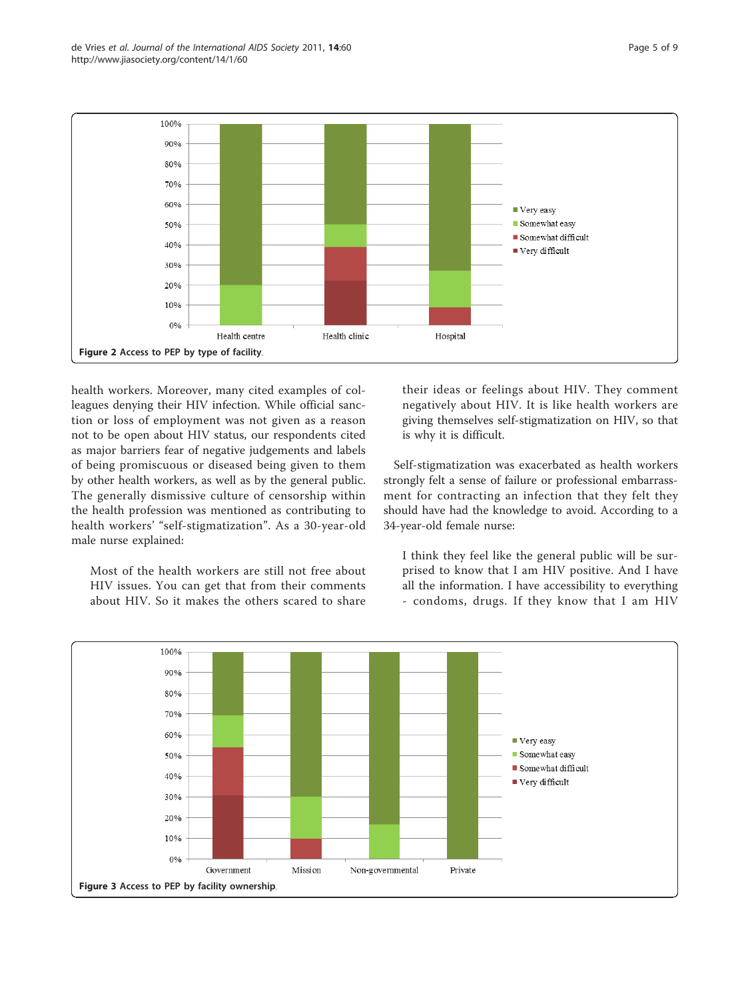<span id="page-5-0"></span>

health workers. Moreover, many cited examples of colleagues denying their HIV infection. While official sanction or loss of employment was not given as a reason not to be open about HIV status, our respondents cited as major barriers fear of negative judgements and labels of being promiscuous or diseased being given to them by other health workers, as well as by the general public. The generally dismissive culture of censorship within the health profession was mentioned as contributing to health workers' "self-stigmatization". As a 30-year-old male nurse explained:

Most of the health workers are still not free about HIV issues. You can get that from their comments about HIV. So it makes the others scared to share their ideas or feelings about HIV. They comment negatively about HIV. It is like health workers are giving themselves self-stigmatization on HIV, so that is why it is difficult.

Self-stigmatization was exacerbated as health workers strongly felt a sense of failure or professional embarrassment for contracting an infection that they felt they should have had the knowledge to avoid. According to a 34-year-old female nurse:

I think they feel like the general public will be surprised to know that I am HIV positive. And I have all the information. I have accessibility to everything - condoms, drugs. If they know that I am HIV

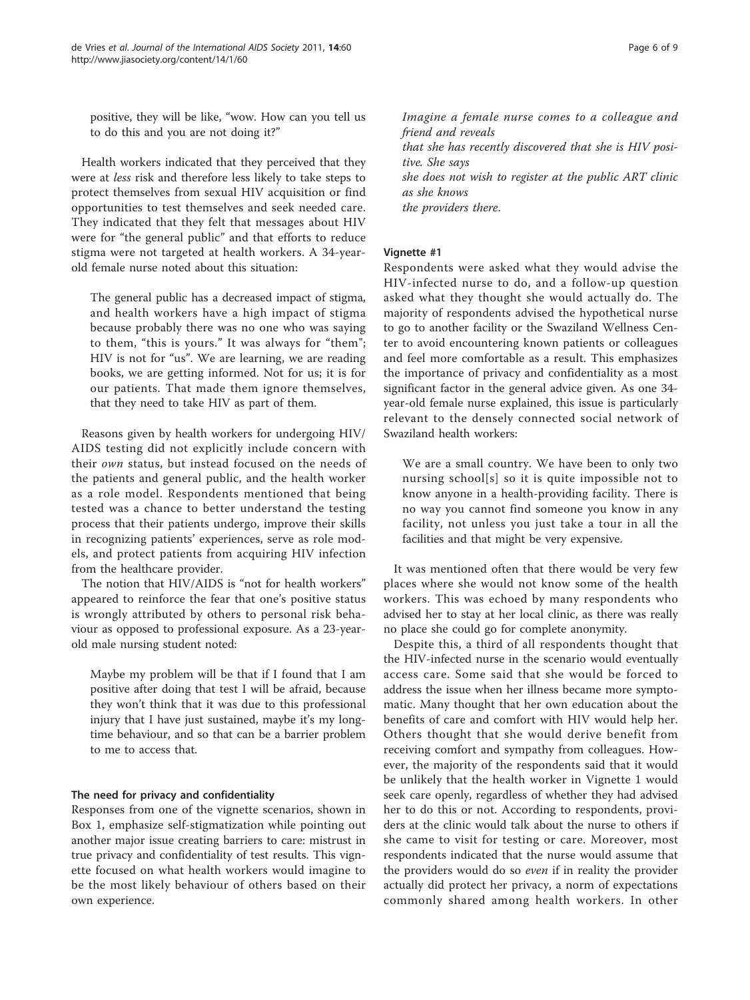positive, they will be like, "wow. How can you tell us to do this and you are not doing it?"

Health workers indicated that they perceived that they were at less risk and therefore less likely to take steps to protect themselves from sexual HIV acquisition or find opportunities to test themselves and seek needed care. They indicated that they felt that messages about HIV were for "the general public" and that efforts to reduce stigma were not targeted at health workers. A 34-yearold female nurse noted about this situation:

The general public has a decreased impact of stigma, and health workers have a high impact of stigma because probably there was no one who was saying to them, "this is yours." It was always for "them"; HIV is not for "us". We are learning, we are reading books, we are getting informed. Not for us; it is for our patients. That made them ignore themselves, that they need to take HIV as part of them.

Reasons given by health workers for undergoing HIV/ AIDS testing did not explicitly include concern with their own status, but instead focused on the needs of the patients and general public, and the health worker as a role model. Respondents mentioned that being tested was a chance to better understand the testing process that their patients undergo, improve their skills in recognizing patients' experiences, serve as role models, and protect patients from acquiring HIV infection from the healthcare provider.

The notion that HIV/AIDS is "not for health workers" appeared to reinforce the fear that one's positive status is wrongly attributed by others to personal risk behaviour as opposed to professional exposure. As a 23-yearold male nursing student noted:

Maybe my problem will be that if I found that I am positive after doing that test I will be afraid, because they won't think that it was due to this professional injury that I have just sustained, maybe it's my longtime behaviour, and so that can be a barrier problem to me to access that.

## The need for privacy and confidentiality

Responses from one of the vignette scenarios, shown in Box 1, emphasize self-stigmatization while pointing out another major issue creating barriers to care: mistrust in true privacy and confidentiality of test results. This vignette focused on what health workers would imagine to be the most likely behaviour of others based on their own experience.

Imagine a female nurse comes to a colleague and friend and reveals that she has recently discovered that she is HIV positive. She says she does not wish to register at the public ART clinic as she knows

the providers there.

## Vignette #1

Respondents were asked what they would advise the HIV-infected nurse to do, and a follow-up question asked what they thought she would actually do. The majority of respondents advised the hypothetical nurse to go to another facility or the Swaziland Wellness Center to avoid encountering known patients or colleagues and feel more comfortable as a result. This emphasizes the importance of privacy and confidentiality as a most significant factor in the general advice given. As one 34 year-old female nurse explained, this issue is particularly relevant to the densely connected social network of Swaziland health workers:

We are a small country. We have been to only two nursing school[s] so it is quite impossible not to know anyone in a health-providing facility. There is no way you cannot find someone you know in any facility, not unless you just take a tour in all the facilities and that might be very expensive.

It was mentioned often that there would be very few places where she would not know some of the health workers. This was echoed by many respondents who advised her to stay at her local clinic, as there was really no place she could go for complete anonymity.

Despite this, a third of all respondents thought that the HIV-infected nurse in the scenario would eventually access care. Some said that she would be forced to address the issue when her illness became more symptomatic. Many thought that her own education about the benefits of care and comfort with HIV would help her. Others thought that she would derive benefit from receiving comfort and sympathy from colleagues. However, the majority of the respondents said that it would be unlikely that the health worker in Vignette 1 would seek care openly, regardless of whether they had advised her to do this or not. According to respondents, providers at the clinic would talk about the nurse to others if she came to visit for testing or care. Moreover, most respondents indicated that the nurse would assume that the providers would do so even if in reality the provider actually did protect her privacy, a norm of expectations commonly shared among health workers. In other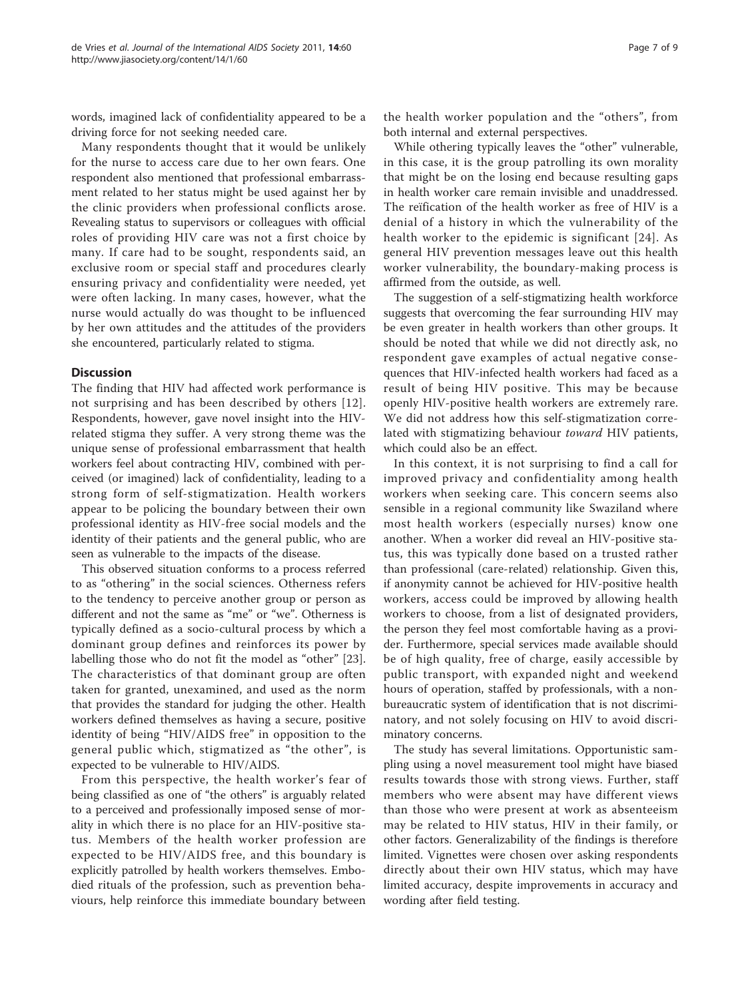words, imagined lack of confidentiality appeared to be a driving force for not seeking needed care.

Many respondents thought that it would be unlikely for the nurse to access care due to her own fears. One respondent also mentioned that professional embarrassment related to her status might be used against her by the clinic providers when professional conflicts arose. Revealing status to supervisors or colleagues with official roles of providing HIV care was not a first choice by many. If care had to be sought, respondents said, an exclusive room or special staff and procedures clearly ensuring privacy and confidentiality were needed, yet were often lacking. In many cases, however, what the nurse would actually do was thought to be influenced by her own attitudes and the attitudes of the providers she encountered, particularly related to stigma.

#### **Discussion**

The finding that HIV had affected work performance is not surprising and has been described by others [[12\]](#page-8-0). Respondents, however, gave novel insight into the HIVrelated stigma they suffer. A very strong theme was the unique sense of professional embarrassment that health workers feel about contracting HIV, combined with perceived (or imagined) lack of confidentiality, leading to a strong form of self-stigmatization. Health workers appear to be policing the boundary between their own professional identity as HIV-free social models and the identity of their patients and the general public, who are seen as vulnerable to the impacts of the disease.

This observed situation conforms to a process referred to as "othering" in the social sciences. Otherness refers to the tendency to perceive another group or person as different and not the same as "me" or "we". Otherness is typically defined as a socio-cultural process by which a dominant group defines and reinforces its power by labelling those who do not fit the model as "other" [\[23](#page-9-0)]. The characteristics of that dominant group are often taken for granted, unexamined, and used as the norm that provides the standard for judging the other. Health workers defined themselves as having a secure, positive identity of being "HIV/AIDS free" in opposition to the general public which, stigmatized as "the other", is expected to be vulnerable to HIV/AIDS.

From this perspective, the health worker's fear of being classified as one of "the others" is arguably related to a perceived and professionally imposed sense of morality in which there is no place for an HIV-positive status. Members of the health worker profession are expected to be HIV/AIDS free, and this boundary is explicitly patrolled by health workers themselves. Embodied rituals of the profession, such as prevention behaviours, help reinforce this immediate boundary between

the health worker population and the "others", from both internal and external perspectives.

While othering typically leaves the "other" vulnerable, in this case, it is the group patrolling its own morality that might be on the losing end because resulting gaps in health worker care remain invisible and unaddressed. The reïfication of the health worker as free of HIV is a denial of a history in which the vulnerability of the health worker to the epidemic is significant [[24\]](#page-9-0). As general HIV prevention messages leave out this health worker vulnerability, the boundary-making process is affirmed from the outside, as well.

The suggestion of a self-stigmatizing health workforce suggests that overcoming the fear surrounding HIV may be even greater in health workers than other groups. It should be noted that while we did not directly ask, no respondent gave examples of actual negative consequences that HIV-infected health workers had faced as a result of being HIV positive. This may be because openly HIV-positive health workers are extremely rare. We did not address how this self-stigmatization correlated with stigmatizing behaviour toward HIV patients, which could also be an effect.

In this context, it is not surprising to find a call for improved privacy and confidentiality among health workers when seeking care. This concern seems also sensible in a regional community like Swaziland where most health workers (especially nurses) know one another. When a worker did reveal an HIV-positive status, this was typically done based on a trusted rather than professional (care-related) relationship. Given this, if anonymity cannot be achieved for HIV-positive health workers, access could be improved by allowing health workers to choose, from a list of designated providers, the person they feel most comfortable having as a provider. Furthermore, special services made available should be of high quality, free of charge, easily accessible by public transport, with expanded night and weekend hours of operation, staffed by professionals, with a nonbureaucratic system of identification that is not discriminatory, and not solely focusing on HIV to avoid discriminatory concerns.

The study has several limitations. Opportunistic sampling using a novel measurement tool might have biased results towards those with strong views. Further, staff members who were absent may have different views than those who were present at work as absenteeism may be related to HIV status, HIV in their family, or other factors. Generalizability of the findings is therefore limited. Vignettes were chosen over asking respondents directly about their own HIV status, which may have limited accuracy, despite improvements in accuracy and wording after field testing.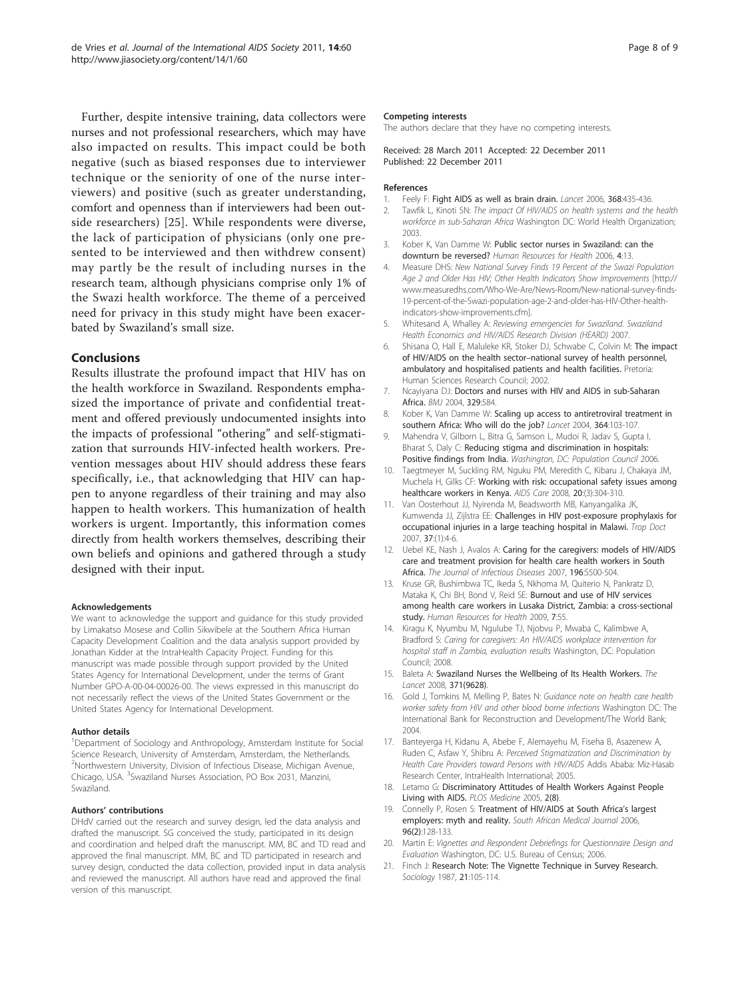<span id="page-8-0"></span>Further, despite intensive training, data collectors were nurses and not professional researchers, which may have also impacted on results. This impact could be both negative (such as biased responses due to interviewer technique or the seniority of one of the nurse interviewers) and positive (such as greater understanding, comfort and openness than if interviewers had been outside researchers) [[25\]](#page-9-0). While respondents were diverse, the lack of participation of physicians (only one presented to be interviewed and then withdrew consent) may partly be the result of including nurses in the research team, although physicians comprise only 1% of the Swazi health workforce. The theme of a perceived need for privacy in this study might have been exacerbated by Swaziland's small size.

### Conclusions

Results illustrate the profound impact that HIV has on the health workforce in Swaziland. Respondents emphasized the importance of private and confidential treatment and offered previously undocumented insights into the impacts of professional "othering" and self-stigmatization that surrounds HIV-infected health workers. Prevention messages about HIV should address these fears specifically, i.e., that acknowledging that HIV can happen to anyone regardless of their training and may also happen to health workers. This humanization of health workers is urgent. Importantly, this information comes directly from health workers themselves, describing their own beliefs and opinions and gathered through a study designed with their input.

#### Acknowledgements

We want to acknowledge the support and guidance for this study provided by Limakatso Mosese and Collin Sikwibele at the Southern Africa Human Capacity Development Coalition and the data analysis support provided by Jonathan Kidder at the IntraHealth Capacity Project. Funding for this manuscript was made possible through support provided by the United States Agency for International Development, under the terms of Grant Number GPO-A-00-04-00026-00. The views expressed in this manuscript do not necessarily reflect the views of the United States Government or the United States Agency for International Development.

#### Author details

<sup>1</sup>Department of Sociology and Anthropology, Amsterdam Institute for Social Science Research, University of Amsterdam, Amsterdam, the Netherlands. <sup>2</sup>Northwestern University, Division of Infectious Disease, Michigan Avenue, Chicago, USA. <sup>3</sup>Swaziland Nurses Association, PO Box 2031, Manzini, Swaziland.

#### Authors' contributions

DHdV carried out the research and survey design, led the data analysis and drafted the manuscript. SG conceived the study, participated in its design and coordination and helped draft the manuscript. MM, BC and TD read and approved the final manuscript. MM, BC and TD participated in research and survey design, conducted the data collection, provided input in data analysis and reviewed the manuscript. All authors have read and approved the final version of this manuscript.

#### Competing interests

The authors declare that they have no competing interests.

Received: 28 March 2011 Accepted: 22 December 2011 Published: 22 December 2011

#### References

- 1. Feely F: [Fight AIDS as well as brain drain.](http://www.ncbi.nlm.nih.gov/pubmed/16890815?dopt=Abstract) *Lancet* 2006, 368:435-436.<br>2. Tawfik L. Kinoti SN: *The impact Of HIV/AIDS on health systems and the*
- 2. Tawfik L, Kinoti SN: The impact Of HIV/AIDS on health systems and the health workforce in sub-Saharan Africa Washington DC: World Health Organization; 2003.
- 3. Kober K, Van Damme W: [Public sector nurses in Swaziland: can the](http://www.ncbi.nlm.nih.gov/pubmed/16737544?dopt=Abstract) [downturn be reversed?](http://www.ncbi.nlm.nih.gov/pubmed/16737544?dopt=Abstract) Human Resources for Health 2006, 4:13.
- 4. Measure DHS: New National Survey Finds 19 Percent of the Swazi Population Age 2 and Older Has HIV; Other Health Indicators Show Improvements [\[http://](http://www.measuredhs.com/Who-We-Are/News-Room/New-national-survey-finds-19-percent-of-the-Swazi-population-age-2-and-older-has-HIV-Other-health-indicators-show-improvements.cfm) [www.measuredhs.com/Who-We-Are/News-Room/New-national-survey-finds-](http://www.measuredhs.com/Who-We-Are/News-Room/New-national-survey-finds-19-percent-of-the-Swazi-population-age-2-and-older-has-HIV-Other-health-indicators-show-improvements.cfm)[19-percent-of-the-Swazi-population-age-2-and-older-has-HIV-Other-health](http://www.measuredhs.com/Who-We-Are/News-Room/New-national-survey-finds-19-percent-of-the-Swazi-population-age-2-and-older-has-HIV-Other-health-indicators-show-improvements.cfm)[indicators-show-improvements.cfm\]](http://www.measuredhs.com/Who-We-Are/News-Room/New-national-survey-finds-19-percent-of-the-Swazi-population-age-2-and-older-has-HIV-Other-health-indicators-show-improvements.cfm).
- 5. Whitesand A, Whalley A: Reviewing emergencies for Swaziland. Swaziland Health Economics and HIV/AIDS Research Division (HEARD) 2007.
- 6. Shisana O, Hall E, Maluleke KR, Stoker DJ, Schwabe C, Colvin M: The impact of HIV/AIDS on the health sector–national survey of health personnel, ambulatory and hospitalised patients and health facilities. Pretoria: Human Sciences Research Council; 2002.
- 7. Ncayiyana DJ: [Doctors and nurses with HIV and AIDS in sub-Saharan](http://www.ncbi.nlm.nih.gov/pubmed/15361421?dopt=Abstract) [Africa.](http://www.ncbi.nlm.nih.gov/pubmed/15361421?dopt=Abstract) BMJ 2004, 329:584.
- 8. Kober K, Van Damme W: [Scaling up access to antiretroviral treatment in](http://www.ncbi.nlm.nih.gov/pubmed/15234864?dopt=Abstract) [southern Africa: Who will do the job?](http://www.ncbi.nlm.nih.gov/pubmed/15234864?dopt=Abstract) Lancet 2004, 364:103-107.
- 9. Mahendra V, Gilborn L, Bitra G, Samson L, Mudoi R, Jadav S, Gupta I, Bharat S, Daly C: Reducing stigma and discrimination in hospitals: Positive findings from India. Washington, DC: Population Council 2006.
- 10. Taegtmeyer M, Suckling RM, Nguku PM, Meredith C, Kibaru J, Chakaya JM, Muchela H, Gilks CF: [Working with risk: occupational safety issues among](http://www.ncbi.nlm.nih.gov/pubmed/18351477?dopt=Abstract) [healthcare workers in Kenya.](http://www.ncbi.nlm.nih.gov/pubmed/18351477?dopt=Abstract) AIDS Care 2008, 20:(3):304-310.
- 11. Van Oosterhout JJ, Nyirenda M, Beadsworth MB, Kanyangalika JK, Kumwenda JJ, Zijlstra EE: [Challenges in HIV post-exposure prophylaxis for](http://www.ncbi.nlm.nih.gov/pubmed/17326876?dopt=Abstract) [occupational injuries in a large teaching hospital in Malawi.](http://www.ncbi.nlm.nih.gov/pubmed/17326876?dopt=Abstract) Trop Doct 2007, 37:(1):4-6.
- 12. Uebel KE, Nash J, Avalos A: [Caring for the caregivers: models of HIV/AIDS](http://www.ncbi.nlm.nih.gov/pubmed/18181701?dopt=Abstract) [care and treatment provision for health care health workers in South](http://www.ncbi.nlm.nih.gov/pubmed/18181701?dopt=Abstract) [Africa.](http://www.ncbi.nlm.nih.gov/pubmed/18181701?dopt=Abstract) The Journal of Infectious Diseases 2007, 196:S500-504.
- 13. Kruse GR, Bushimbwa TC, Ikeda S, Nkhoma M, Quiterio N, Pankratz D, Mataka K, Chi BH, Bond V, Reid SE: [Burnout and use of HIV services](http://www.ncbi.nlm.nih.gov/pubmed/19594917?dopt=Abstract) [among health care workers in Lusaka District, Zambia: a cross-sectional](http://www.ncbi.nlm.nih.gov/pubmed/19594917?dopt=Abstract) [study.](http://www.ncbi.nlm.nih.gov/pubmed/19594917?dopt=Abstract) Human Resources for Health 2009, 7:55.
- 14. Kiragu K, Nyumbu M, Ngulube TJ, Njobvu P, Mwaba C, Kalimbwe A, Bradford S: Caring for caregivers: An HIV/AIDS workplace intervention for hospital staff in Zambia, evaluation results Washington, DC: Population Council; 2008.
- 15. Baleta A: Swaziland Nurses the Wellbeing of Its Health Workers. The Lancet 2008, 371(9628).
- 16. Gold J, Tomkins M, Melling P, Bates N: Guidance note on health care health worker safety from HIV and other blood borne infections Washington DC: The International Bank for Reconstruction and Development/The World Bank; 2004.
- 17. Banteyerga H, Kidanu A, Abebe F, Alemayehu M, Fiseha B, Asazenew A, Ruden C, Asfaw Y, Shibru A: Perceived Stigmatization and Discrimination by Health Care Providers toward Persons with HIV/AIDS Addis Ababa: Miz-Hasab Research Center, IntraHealth International; 2005.
- 18. Letamo G: Discriminatory Attitudes of Health Workers Against People Living with AIDS. PLOS Medicine 2005, 2(8).
- 19. Connelly P, Rosen S: [Treatment of HIV/AIDS at South Africa](http://www.ncbi.nlm.nih.gov/pubmed/16532081?dopt=Abstract)'s largest [employers: myth and reality.](http://www.ncbi.nlm.nih.gov/pubmed/16532081?dopt=Abstract) South African Medical Journal 2006, 96(2):128-133.
- 20. Martin E: Vignettes and Respondent Debriefings for Questionnaire Design and Evaluation Washington, DC: U.S. Bureau of Census; 2006.
- 21. Finch J: Research Note: The Vignette Technique in Survey Research. Sociology 1987, 21:105-114.